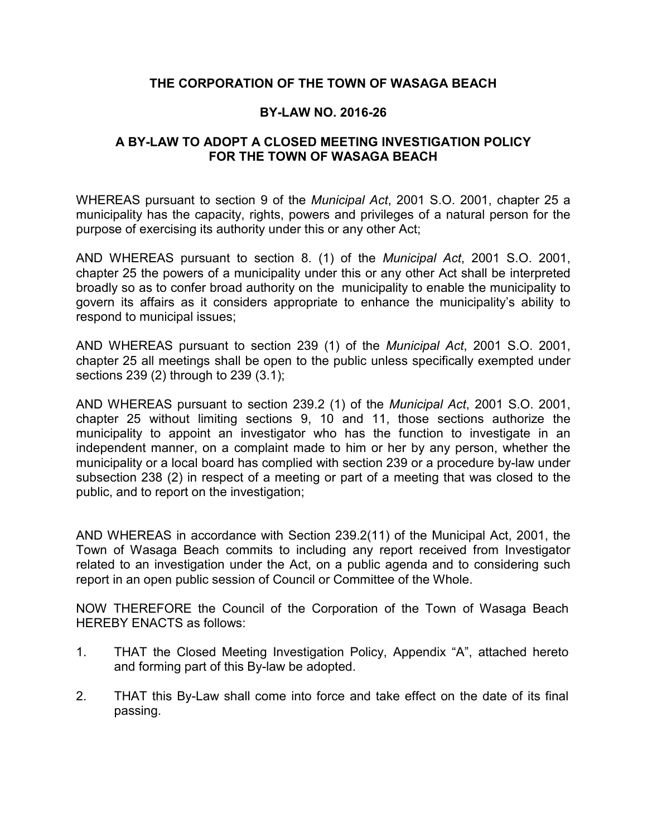# **THE CORPORATION OF THE TOWN OF WASAGA BEACH**

# **BY-LAW NO. 2016-26**

# **A BY-LAW TO ADOPT A CLOSED MEETING INVESTIGATION POLICY FOR THE TOWN OF WASAGA BEACH**

WHEREAS pursuant to section 9 of the *Municipal Act*, 2001 S.O. 2001, chapter 25 a municipality has the capacity, rights, powers and privileges of a natural person for the purpose of exercising its authority under this or any other Act;

AND WHEREAS pursuant to section 8. (1) of the *Municipal Act*, 2001 S.O. 2001, chapter 25 the powers of a municipality under this or any other Act shall be interpreted broadly so as to confer broad authority on the municipality to enable the municipality to govern its affairs as it considers appropriate to enhance the municipality's ability to respond to municipal issues;

AND WHEREAS pursuant to section 239 (1) of the *Municipal Act*, 2001 S.O. 2001, chapter 25 all meetings shall be open to the public unless specifically exempted under sections 239 (2) through to 239 (3.1);

AND WHEREAS pursuant to section 239.2 (1) of the *Municipal Act*, 2001 S.O. 2001, chapter 25 without limiting sections 9, 10 and 11, those sections authorize the municipality to appoint an investigator who has the function to investigate in an independent manner, on a complaint made to him or her by any person, whether the municipality or a local board has complied with section 239 or a procedure by-law under subsection 238 (2) in respect of a meeting or part of a meeting that was closed to the public, and to report on the investigation;

AND WHEREAS in accordance with Section 239.2(11) of the Municipal Act, 2001, the Town of Wasaga Beach commits to including any report received from Investigator related to an investigation under the Act, on a public agenda and to considering such report in an open public session of Council or Committee of the Whole.

NOW THEREFORE the Council of the Corporation of the Town of Wasaga Beach HEREBY ENACTS as follows:

- 1. THAT the Closed Meeting Investigation Policy, Appendix "A", attached hereto and forming part of this By-law be adopted.
- 2. THAT this By-Law shall come into force and take effect on the date of its final passing.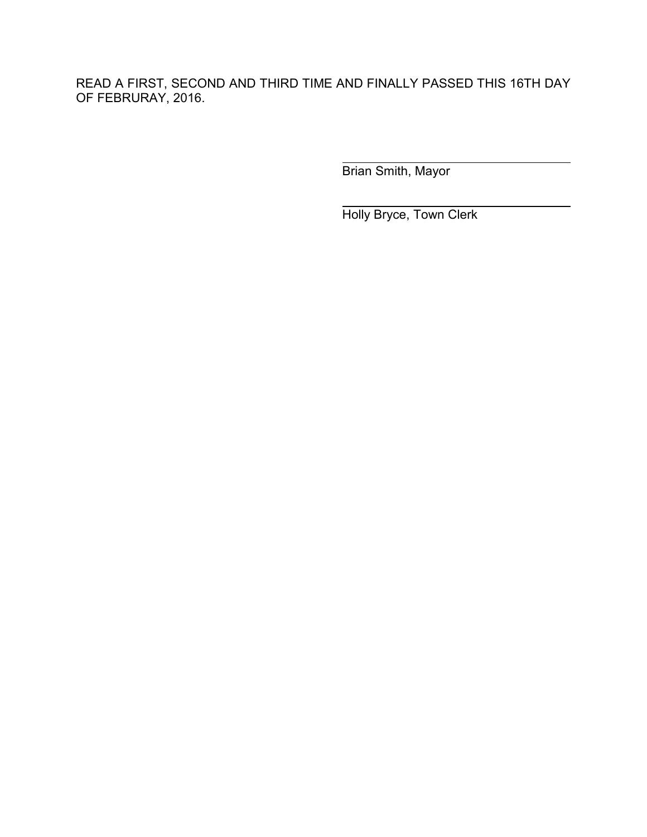READ A FIRST, SECOND AND THIRD TIME AND FINALLY PASSED THIS 16TH DAY OF FEBRURAY, 2016.

Brian Smith, Mayor

Holly Bryce, Town Clerk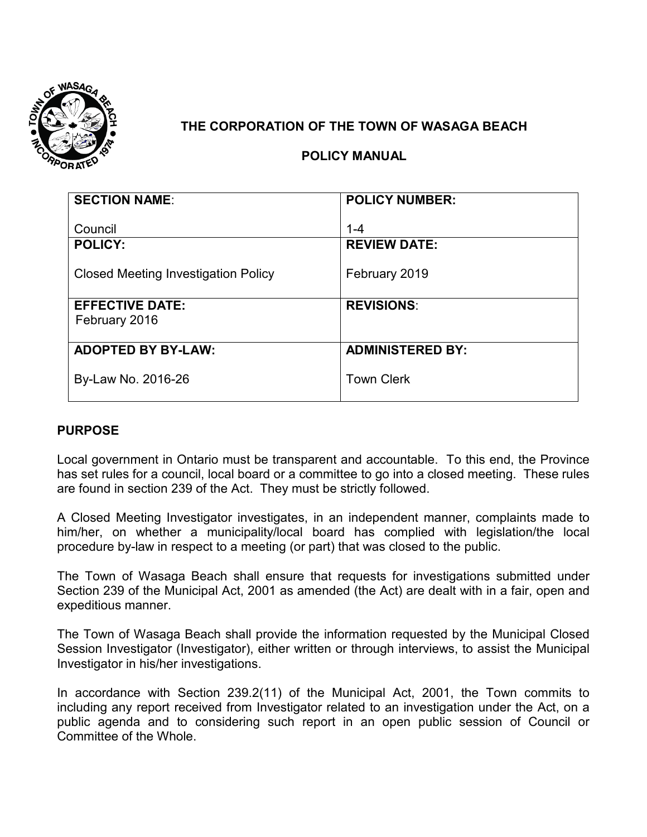

# **THE CORPORATION OF THE TOWN OF WASAGA BEACH**

# **POLICY MANUAL**

| <b>SECTION NAME:</b>                       | <b>POLICY NUMBER:</b>   |
|--------------------------------------------|-------------------------|
|                                            |                         |
| Council                                    | $1 - 4$                 |
| <b>POLICY:</b>                             | <b>REVIEW DATE:</b>     |
|                                            |                         |
| <b>Closed Meeting Investigation Policy</b> | February 2019           |
|                                            |                         |
| <b>EFFECTIVE DATE:</b>                     | <b>REVISIONS:</b>       |
| February 2016                              |                         |
|                                            |                         |
| <b>ADOPTED BY BY-LAW:</b>                  | <b>ADMINISTERED BY:</b> |
|                                            |                         |
| By-Law No. 2016-26                         | <b>Town Clerk</b>       |
|                                            |                         |

# **PURPOSE**

Local government in Ontario must be transparent and accountable. To this end, the Province has set rules for a council, local board or a committee to go into a closed meeting. These rules are found in section 239 of the Act. They must be strictly followed.

A Closed Meeting Investigator investigates, in an independent manner, complaints made to him/her, on whether a municipality/local board has complied with legislation/the local procedure by-law in respect to a meeting (or part) that was closed to the public.

The Town of Wasaga Beach shall ensure that requests for investigations submitted under Section 239 of the Municipal Act, 2001 as amended (the Act) are dealt with in a fair, open and expeditious manner.

The Town of Wasaga Beach shall provide the information requested by the Municipal Closed Session Investigator (Investigator), either written or through interviews, to assist the Municipal Investigator in his/her investigations.

In accordance with Section 239.2(11) of the Municipal Act, 2001, the Town commits to including any report received from Investigator related to an investigation under the Act, on a public agenda and to considering such report in an open public session of Council or Committee of the Whole.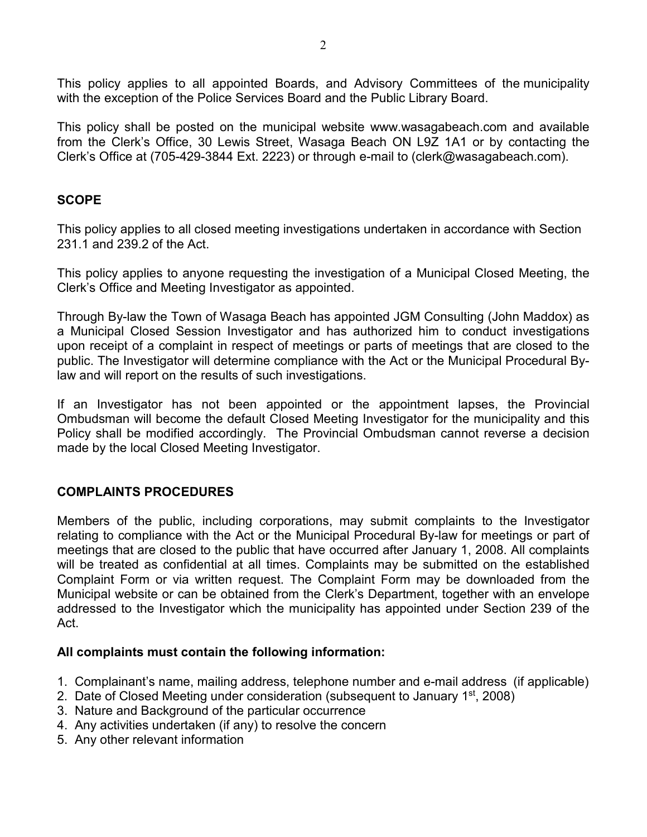This policy applies to all appointed Boards, and Advisory Committees of the municipality with the exception of the Police Services Board and the Public Library Board.

This policy shall be posted on the municipal website www.wasagabeach.com and available from the Clerk's Office, 30 Lewis Street, Wasaga Beach ON L9Z 1A1 or by contacting the Clerk's Office at (705-429-3844 Ext. 2223) or through e-mail to (clerk@wasagabeach.com).

# **SCOPE**

This policy applies to all closed meeting investigations undertaken in accordance with Section 231.1 and 239.2 of the Act.

This policy applies to anyone requesting the investigation of a Municipal Closed Meeting, the Clerk's Office and Meeting Investigator as appointed.

Through By-law the Town of Wasaga Beach has appointed JGM Consulting (John Maddox) as a Municipal Closed Session Investigator and has authorized him to conduct investigations upon receipt of a complaint in respect of meetings or parts of meetings that are closed to the public. The Investigator will determine compliance with the Act or the Municipal Procedural Bylaw and will report on the results of such investigations.

If an Investigator has not been appointed or the appointment lapses, the Provincial Ombudsman will become the default Closed Meeting Investigator for the municipality and this Policy shall be modified accordingly. The Provincial Ombudsman cannot reverse a decision made by the local Closed Meeting Investigator.

# **COMPLAINTS PROCEDURES**

Members of the public, including corporations, may submit complaints to the Investigator relating to compliance with the Act or the Municipal Procedural By-law for meetings or part of meetings that are closed to the public that have occurred after January 1, 2008. All complaints will be treated as confidential at all times. Complaints may be submitted on the established Complaint Form or via written request. The Complaint Form may be downloaded from the Municipal website or can be obtained from the Clerk's Department, together with an envelope addressed to the Investigator which the municipality has appointed under Section 239 of the Act.

# **All complaints must contain the following information:**

- 1. Complainant's name, mailing address, telephone number and e-mail address (if applicable)
- 2. Date of Closed Meeting under consideration (subsequent to January 1<sup>st</sup>, 2008)
- 3. Nature and Background of the particular occurrence
- 4. Any activities undertaken (if any) to resolve the concern
- 5. Any other relevant information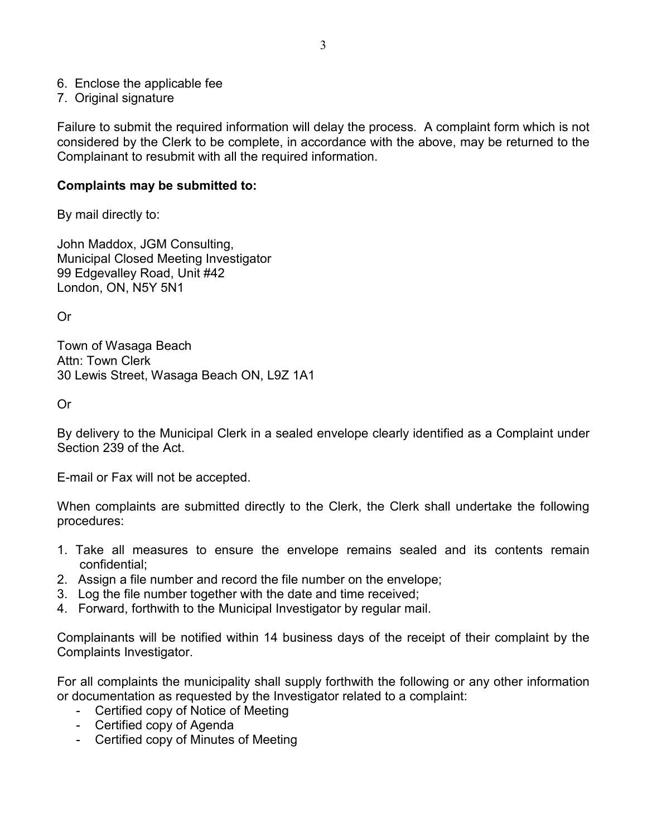- 6. Enclose the applicable fee
- 7. Original signature

Failure to submit the required information will delay the process. A complaint form which is not considered by the Clerk to be complete, in accordance with the above, may be returned to the Complainant to resubmit with all the required information.

#### **Complaints may be submitted to:**

By mail directly to:

John Maddox, JGM Consulting, Municipal Closed Meeting Investigator 99 Edgevalley Road, Unit #42 London, ON, N5Y 5N1

Or

Town of Wasaga Beach Attn: Town Clerk 30 Lewis Street, Wasaga Beach ON, L9Z 1A1

Or

By delivery to the Municipal Clerk in a sealed envelope clearly identified as a Complaint under Section 239 of the Act.

E-mail or Fax will not be accepted.

When complaints are submitted directly to the Clerk, the Clerk shall undertake the following procedures:

- 1. Take all measures to ensure the envelope remains sealed and its contents remain confidential;
- 2. Assign a file number and record the file number on the envelope;
- 3. Log the file number together with the date and time received;
- 4. Forward, forthwith to the Municipal Investigator by regular mail.

Complainants will be notified within 14 business days of the receipt of their complaint by the Complaints Investigator.

For all complaints the municipality shall supply forthwith the following or any other information or documentation as requested by the Investigator related to a complaint:

- Certified copy of Notice of Meeting
- Certified copy of Agenda
- Certified copy of Minutes of Meeting